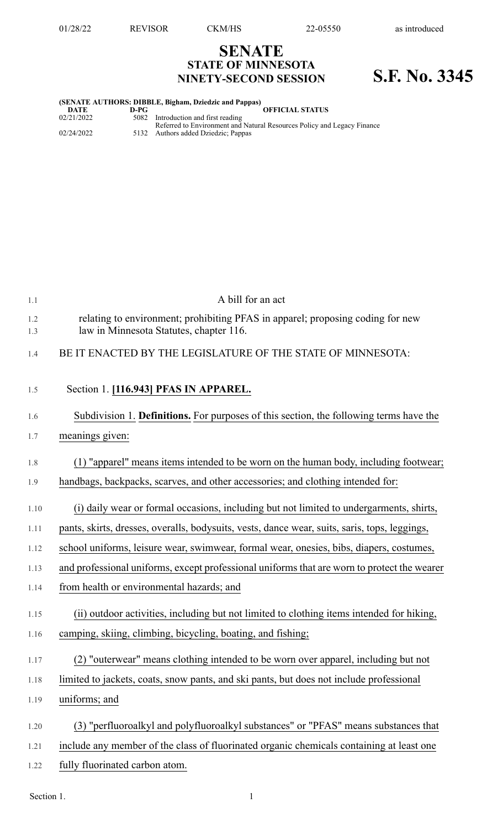## **SENATE STATE OF MINNESOTA NINETY-SECOND SESSION S.F. No. 3345**

## **(SENATE AUTHORS: DIBBLE, Bigham, Dziedzic and Pappas) DATE D-PG OFFICIAL STATUS**

| 02/21/2022 | 5082 Introduction and first reading                                                                            |
|------------|----------------------------------------------------------------------------------------------------------------|
| 02/24/2022 | Referred to Environment and Natural Resources Policy and Legacy Finance<br>5132 Authors added Dziedzic; Pappas |

| 1.1        | A bill for an act                                                                                                         |
|------------|---------------------------------------------------------------------------------------------------------------------------|
| 1.2<br>1.3 | relating to environment; prohibiting PFAS in apparel; proposing coding for new<br>law in Minnesota Statutes, chapter 116. |
| 1.4        | BE IT ENACTED BY THE LEGISLATURE OF THE STATE OF MINNESOTA:                                                               |
| 1.5        | Section 1. [116.943] PFAS IN APPAREL.                                                                                     |
| 1.6        | Subdivision 1. Definitions. For purposes of this section, the following terms have the                                    |
| 1.7        | meanings given:                                                                                                           |
| 1.8        | (1) "apparel" means items intended to be worn on the human body, including footwear;                                      |
| 1.9        | handbags, backpacks, scarves, and other accessories; and clothing intended for:                                           |
| 1.10       | (i) daily wear or formal occasions, including but not limited to undergarments, shirts,                                   |
| 1.11       | pants, skirts, dresses, overalls, bodysuits, vests, dance wear, suits, saris, tops, leggings,                             |
| 1.12       | school uniforms, leisure wear, swimwear, formal wear, onesies, bibs, diapers, costumes,                                   |
| 1.13       | and professional uniforms, except professional uniforms that are worn to protect the wearer                               |
| 1.14       | from health or environmental hazards; and                                                                                 |
| 1.15       | (ii) outdoor activities, including but not limited to clothing items intended for hiking,                                 |
| 1.16       | camping, skiing, climbing, bicycling, boating, and fishing;                                                               |
| 1.17       | (2) "outerwear" means clothing intended to be worn over apparel, including but not                                        |
| 1.18       | limited to jackets, coats, snow pants, and ski pants, but does not include professional                                   |
| 1.19       | uniforms; and                                                                                                             |
| 1.20       | (3) "perfluoroalkyl and polyfluoroalkyl substances" or "PFAS" means substances that                                       |
| 1.21       | include any member of the class of fluorinated organic chemicals containing at least one                                  |
| 1.22       | fully fluorinated carbon atom.                                                                                            |

Section 1.